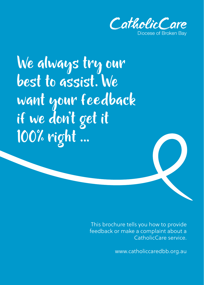

We always try our best to assist. We want your feedback if we don't get it 100% right ...

> This brochure tells you how to provide feedback or make a complaint about a CatholicCare service.

> > www.catholiccaredbb.org.au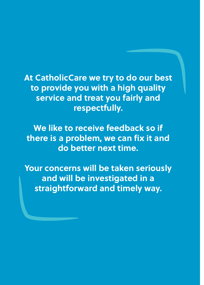**At CatholicCare we try to do our best to provide you with a high quality service and treat you fairly and respectfully.**

**We like to receive feedback so if there is a problem, we can fix it and do better next time.**

**Your concerns will be taken seriously and will be investigated in a straightforward and timely way.**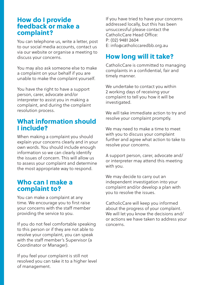### How do I provide feedback or make a complaint?

You can telephone us, write a letter, post to our social media accounts, contact us via our website or organise a meeting to discuss your concerns.

You may also ask someone else to make a complaint on your behalf if you are unable to make the complaint yourself.

You have the right to have a support person, carer, advocate and/or interpreter to assist you in making a complaint, and during the complaint resolution process.

# What information should I include?

When making a complaint you should explain your concerns clearly and in your own words. You should include enough information so we can clearly identify the issues of concern. This will allow us to assess your complaint and determine the most appropriate way to respond.

## Who can I make a complaint to?

You can make a complaint at any time. We encourage you to first raise your concerns with the staff member providing the service to you.

If you do not feel comfortable speaking to this person or if they are not able to resolve your complaint, you can speak with the staff member's Supervisor (a Coordinator or Manager).

If you feel your complaint is still not resolved you can take it to a higher level of management.

If you have tried to have your concerns addressed locally, but this has been unsuccessful please contact the CatholicCare Head Office: P: (02) 9481 2604 E: info@catholiccaredbb.org.au

# How long will it take?

CatholicCare is committed to managing complaints in a confidential, fair and timely manner.

We undertake to contact you within 2 working days of receiving your complaint to tell you how it will be investigated.

We will take immediate action to try and resolve your complaint promptly.

We may need to make a time to meet with you to discuss your complaint further and agree what action to take to resolve your concerns.

A support person, carer, advocate and/ or interpreter may attend this meeting with you.

We may decide to carry out an independent investigation into your complaint and/or develop a plan with you to resolve the issues.

CatholicCare will keep you informed about the progress of your complaint. We will let you know the decisions and/ or actions we have taken to address your concerns.